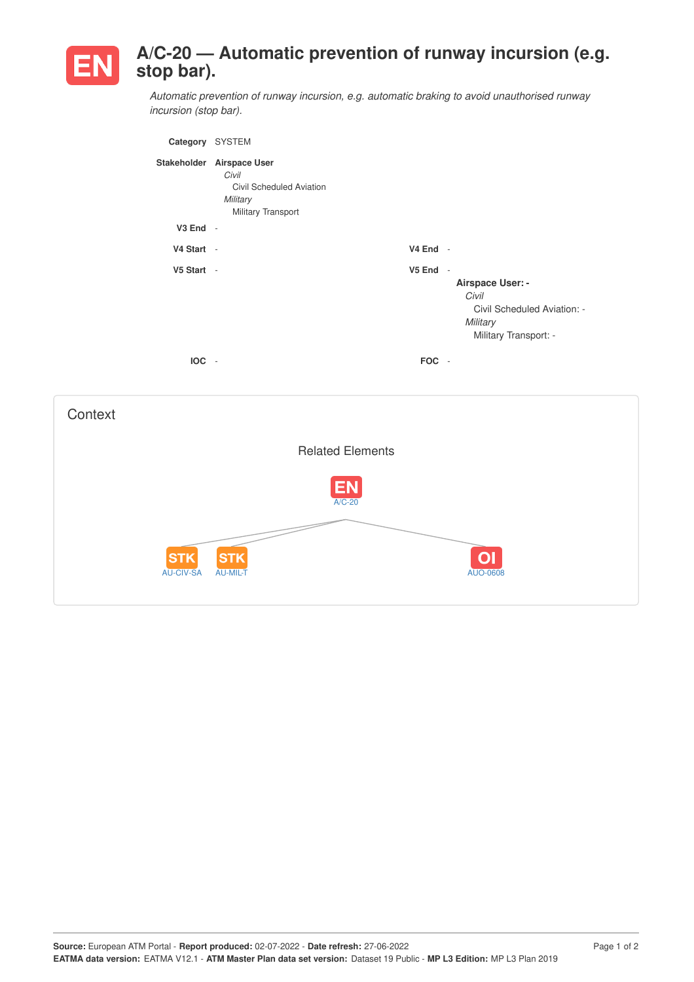

## **A/C-20 — Automatic prevention of runway incursion (e.g. stop bar).**

*Automatic prevention of runway incursion, e.g. automatic braking to avoid unauthorised runway incursion (stop bar).*